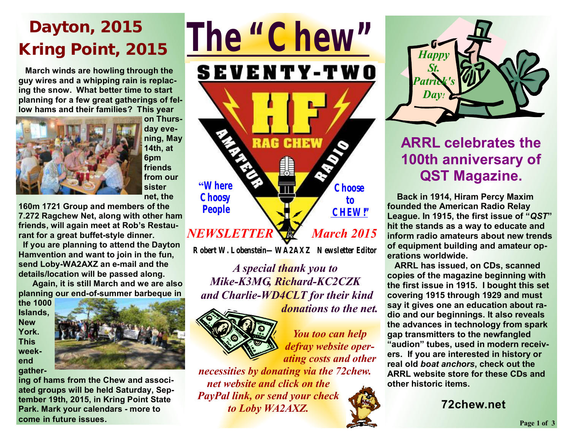# **Dayton, 2015 Kring Point, 2015**

 **March winds are howling through the guy wires and a whipping rain is replacing the snow. What better time to start planning for a few great gatherings of fellow hams and their families? This year** 



**on Thursday evening, May 14th, at 6pm friends from our sister net, the** 

**160m 1721 Group and members of the 7.272 Ragchew Net, along with other ham friends, will again meet at Rob's Restaurant for a great buffet-style dinner.** 

 **If you are planning to attend the Dayton Hamvention and want to join in the fun, send Loby-WA2AXZ an e-mail and the details/location will be passed along.** 

 **Again, it is still March and we are also planning our end-of-summer barbeque in** 

**the 1000 Islands, New York. This weekend gather-**



**ing of hams from the Chew and associated groups will be held Saturday, September 19th, 2015, in Kring Point State Park. Mark your calendars - more to come in future issues.**



**Robert W. Lobenstein—WA2AXZ Newsletter Editor** 

*A special thank you to Mike-K3MG, Richard-KC2CZK and Charlie-WD4CLT for their kind donations to the net.* 



*You too can help defray website operating costs and other* 

*necessities by donating via the 72chew. net website and click on the PayPal link, or send your check to Loby WA2AXZ.* 



### **ARRL celebrates the 100th anniversary of QST Magazine.**

 **Back in 1914, Hiram Percy Maxim founded the American Radio Relay League. In 1915, the first issue of "***QST***" hit the stands as a way to educate and inform radio amateurs about new trends of equipment building and amateur operations worldwide.** 

 **ARRL has issued, on CDs, scanned copies of the magazine beginning with the first issue in 1915. I bought this set covering 1915 through 1929 and must say it gives one an education about radio and our beginnings. It also reveals the advances in technology from spark gap transmitters to the newfangled "audion" tubes, used in modern receivers. If you are interested in history or real old** *boat anchors***, check out the ARRL website store for these CDs and other historic items.** 

**72chew.net**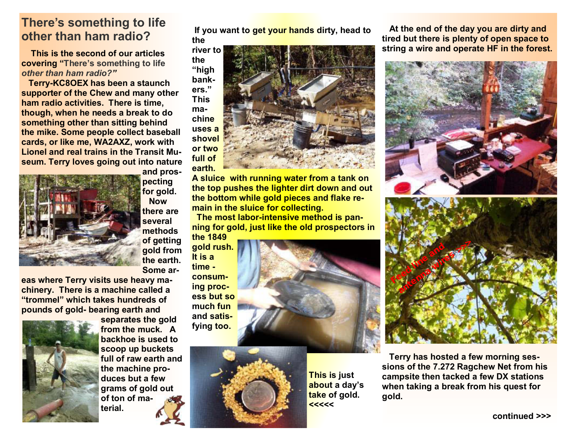### **There's something to life other than ham radio?**

 **This is the second of our articles covering "There's something to life**  *other than ham radio?"* 

 **Terry-KC8OEX has been a staunch supporter of the Chew and many other ham radio activities. There is time, though, when he needs a break to do something other than sitting behind the mike. Some people collect baseball cards, or like me, WA2AXZ, work with Lionel and real trains in the Transit Museum. Terry loves going out into nature** 



**and prospecting for gold. Now there are several methods of getting gold from the earth. Some ar-**

**eas where Terry visits use heavy machinery. There is a machine called a "trommel" which takes hundreds of pounds of gold- bearing earth and** 



**separates the gold from the muck. A backhoe is used to scoop up buckets full of raw earth and the machine produces but a few grams of gold out of ton of material.** 

**If you want to get your hands dirty, head to the** 



**A sluice with running water from a tank on the top pushes the lighter dirt down and out the bottom while gold pieces and flake remain in the sluice for collecting.** 

**The most labor-intensive method is panning for gold, just like the old prospectors in the 1849** 

**gold rush. It is a time consuming process but so much fun and satisfying too.** 



**This is just about a day's take of gold. <<<<<** 

 **At the end of the day you are dirty and tired but there is plenty of open space to string a wire and operate HF in the forest.** 



 **Terry has hosted a few morning sessions of the 7.272 Ragchew Net from his campsite then tacked a few DX stations when taking a break from his quest for gold.**